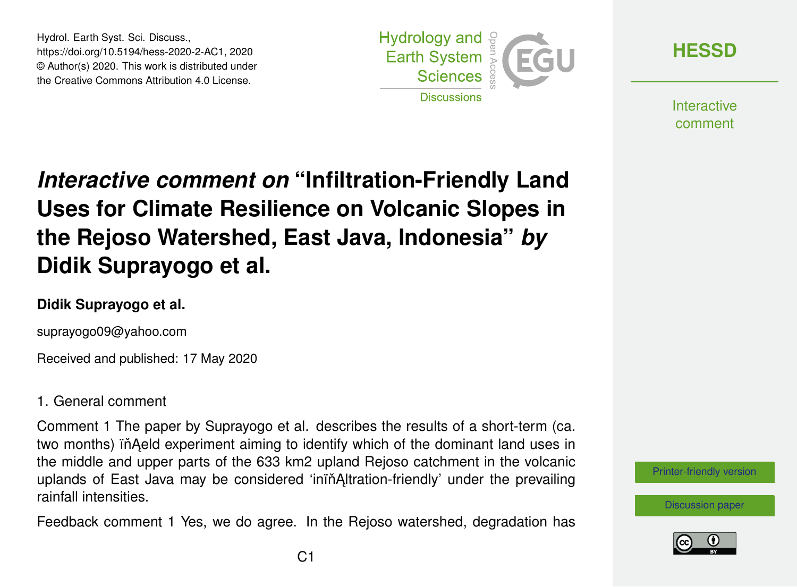Hydrol. Earth Syst. Sci. Discuss., https://doi.org/10.5194/hess-2020-2-AC1, 2020 © Author(s) 2020. This work is distributed under the Creative Commons Attribution 4.0 License.



**[HESSD](https://www.hydrol-earth-syst-sci-discuss.net/)**

**Interactive** comment

# *Interactive comment on* **"Infiltration-Friendly Land Uses for Climate Resilience on Volcanic Slopes in the Rejoso Watershed, East Java, Indonesia"** *by* **Didik Suprayogo et al.**

### **Didik Suprayogo et al.**

suprayogo09@yahoo.com

Received and published: 17 May 2020

### 1. General comment

Comment 1 The paper by Suprayogo et al. describes the results of a short-term (ca. two months) in Aeld experiment aiming to identify which of the dominant land uses in the middle and upper parts of the 633 km2 upland Rejoso catchment in the volcanic uplands of East Java may be considered 'inin Altration-friendly' under the prevailing rainfall intensities.

Feedback comment 1 Yes, we do agree. In the Rejoso watershed, degradation has

[Printer-friendly version](https://www.hydrol-earth-syst-sci-discuss.net/hess-2020-2/hess-2020-2-AC1-print.pdf)

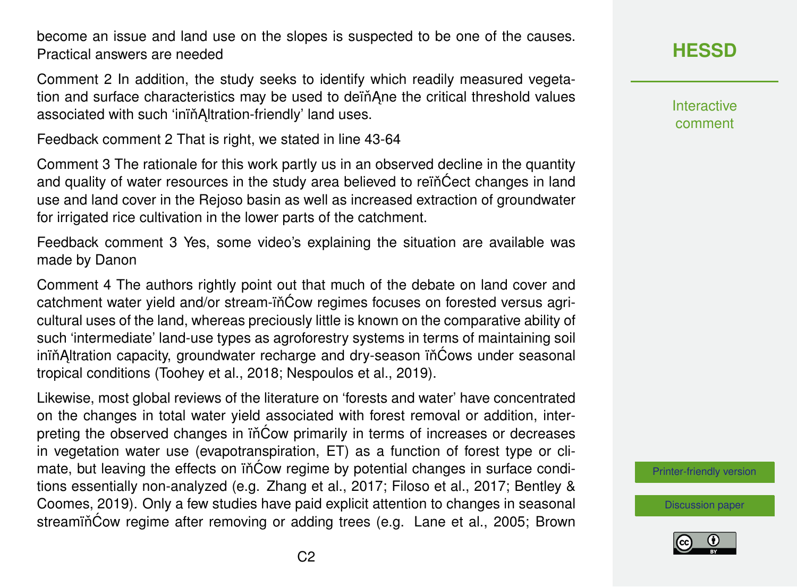become an issue and land use on the slopes is suspected to be one of the causes. Practical answers are needed

Comment 2 In addition, the study seeks to identify which readily measured vegetation and surface characteristics may be used to dein Ane the critical threshold values associated with such 'inin Altration-friendly' land uses.

Feedback comment 2 That is right, we stated in line 43-64

Comment 3 The rationale for this work partly us in an observed decline in the quantity and quality of water resources in the study area believed to rein Cect changes in land use and land cover in the Rejoso basin as well as increased extraction of groundwater for irrigated rice cultivation in the lower parts of the catchment.

Feedback comment 3 Yes, some video's explaining the situation are available was made by Danon

Comment 4 The authors rightly point out that much of the debate on land cover and catchment water yield and/or stream-in<sup>c</sup>ow regimes focuses on forested versus agricultural uses of the land, whereas preciously little is known on the comparative ability of such 'intermediate' land-use types as agroforestry systems in terms of maintaining soil inin Altration capacity, groundwater recharge and dry-season in Cows under seasonal tropical conditions (Toohey et al., 2018; Nespoulos et al., 2019).

Likewise, most global reviews of the literature on 'forests and water' have concentrated on the changes in total water yield associated with forest removal or addition, interpreting the observed changes in in cow primarily in terms of increases or decreases in vegetation water use (evapotranspiration, ET) as a function of forest type or climate, but leaving the effects on in Cow regime by potential changes in surface conditions essentially non-analyzed (e.g. Zhang et al., 2017; Filoso et al., 2017; Bentley & Coomes, 2019). Only a few studies have paid explicit attention to changes in seasonal streamiňĆow regime after removing or adding trees (e.g. Lane et al., 2005; Brown **[HESSD](https://www.hydrol-earth-syst-sci-discuss.net/)**

Interactive comment

[Printer-friendly version](https://www.hydrol-earth-syst-sci-discuss.net/hess-2020-2/hess-2020-2-AC1-print.pdf)

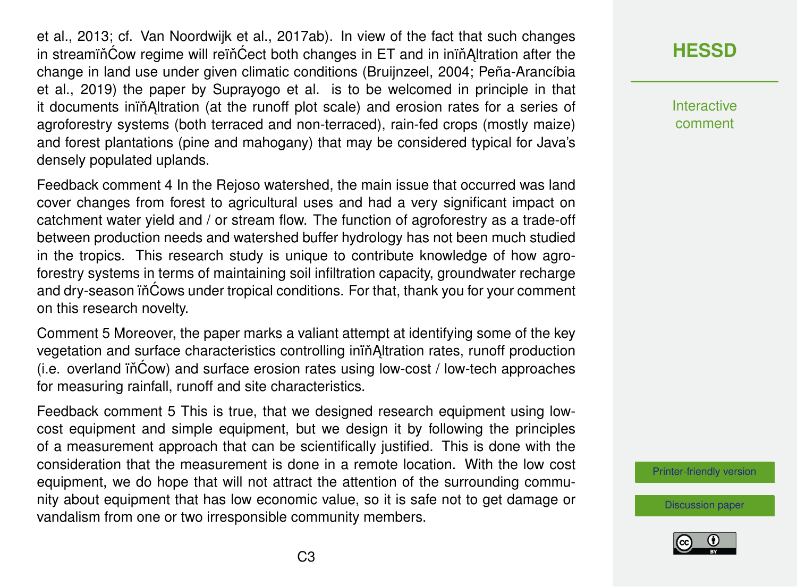et al., 2013; cf. Van Noordwijk et al., 2017ab). In view of the fact that such changes in streamin $\acute{C}$ ow regime will rein $\acute{C}$ ect both changes in ET and in inin $\acute{A}$ ltration after the change in land use under given climatic conditions (Bruijnzeel, 2004; Peña-Arancíbia et al., 2019) the paper by Suprayogo et al. is to be welcomed in principle in that it documents iniňAltration (at the runoff plot scale) and erosion rates for a series of agroforestry systems (both terraced and non-terraced), rain-fed crops (mostly maize) and forest plantations (pine and mahogany) that may be considered typical for Java's densely populated uplands.

Feedback comment 4 In the Rejoso watershed, the main issue that occurred was land cover changes from forest to agricultural uses and had a very significant impact on catchment water yield and / or stream flow. The function of agroforestry as a trade-off between production needs and watershed buffer hydrology has not been much studied in the tropics. This research study is unique to contribute knowledge of how agroforestry systems in terms of maintaining soil infiltration capacity, groundwater recharge and dry-season in Cows under tropical conditions. For that, thank you for your comment on this research novelty.

Comment 5 Moreover, the paper marks a valiant attempt at identifying some of the key vegetation and surface characteristics controlling inin Altration rates, runoff production (i.e. overland ïňĆow) and surface erosion rates using low-cost / low-tech approaches for measuring rainfall, runoff and site characteristics.

Feedback comment 5 This is true, that we designed research equipment using lowcost equipment and simple equipment, but we design it by following the principles of a measurement approach that can be scientifically justified. This is done with the consideration that the measurement is done in a remote location. With the low cost equipment, we do hope that will not attract the attention of the surrounding community about equipment that has low economic value, so it is safe not to get damage or vandalism from one or two irresponsible community members.

# **[HESSD](https://www.hydrol-earth-syst-sci-discuss.net/)**

**Interactive** comment

[Printer-friendly version](https://www.hydrol-earth-syst-sci-discuss.net/hess-2020-2/hess-2020-2-AC1-print.pdf)

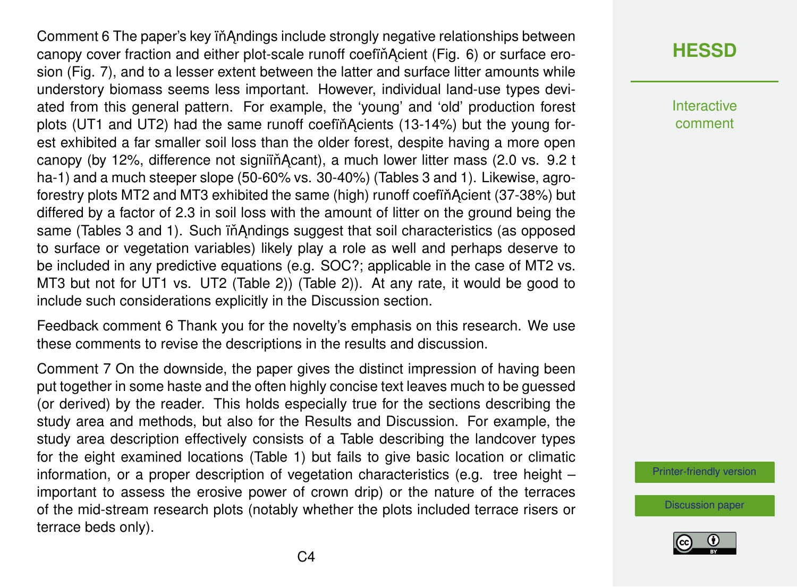Comment 6 The paper's key in Andings include strongly negative relationships between canopy cover fraction and either plot-scale runoff coefin Acient (Fig. 6) or surface erosion (Fig. 7), and to a lesser extent between the latter and surface litter amounts while understory biomass seems less important. However, individual land-use types deviated from this general pattern. For example, the 'young' and 'old' production forest plots (UT1 and UT2) had the same runoff coefin Acients (13-14%) but the young forest exhibited a far smaller soil loss than the older forest, despite having a more open canopy (by 12%, difference not signifing Acant), a much lower litter mass (2.0 vs. 9.2 t ha-1) and a much steeper slope (50-60% vs. 30-40%) (Tables 3 and 1). Likewise, agroforestry plots MT2 and MT3 exhibited the same (high) runoff coefin Acient (37-38%) but differed by a factor of 2.3 in soil loss with the amount of litter on the ground being the same (Tables 3 and 1). Such in Andings suggest that soil characteristics (as opposed to surface or vegetation variables) likely play a role as well and perhaps deserve to be included in any predictive equations (e.g. SOC?; applicable in the case of MT2 vs. MT3 but not for UT1 vs. UT2 (Table 2)) (Table 2)). At any rate, it would be good to include such considerations explicitly in the Discussion section.

Feedback comment 6 Thank you for the novelty's emphasis on this research. We use these comments to revise the descriptions in the results and discussion.

Comment 7 On the downside, the paper gives the distinct impression of having been put together in some haste and the often highly concise text leaves much to be guessed (or derived) by the reader. This holds especially true for the sections describing the study area and methods, but also for the Results and Discussion. For example, the study area description effectively consists of a Table describing the landcover types for the eight examined locations (Table 1) but fails to give basic location or climatic information, or a proper description of vegetation characteristics (e.g. tree height – important to assess the erosive power of crown drip) or the nature of the terraces of the mid-stream research plots (notably whether the plots included terrace risers or terrace beds only).

# **[HESSD](https://www.hydrol-earth-syst-sci-discuss.net/)**

Interactive comment

[Printer-friendly version](https://www.hydrol-earth-syst-sci-discuss.net/hess-2020-2/hess-2020-2-AC1-print.pdf)

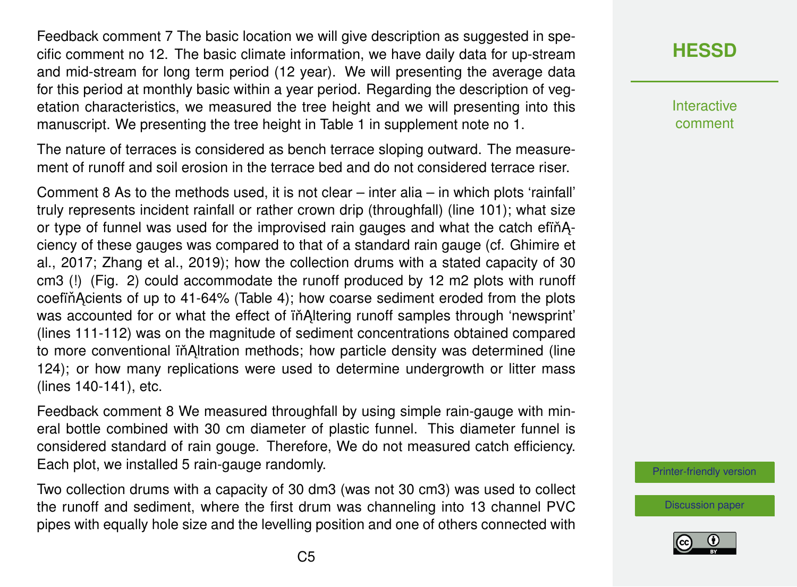Feedback comment 7 The basic location we will give description as suggested in specific comment no 12. The basic climate information, we have daily data for up-stream and mid-stream for long term period (12 year). We will presenting the average data for this period at monthly basic within a year period. Regarding the description of vegetation characteristics, we measured the tree height and we will presenting into this manuscript. We presenting the tree height in Table 1 in supplement note no 1.

The nature of terraces is considered as bench terrace sloping outward. The measurement of runoff and soil erosion in the terrace bed and do not considered terrace riser.

Comment 8 As to the methods used, it is not clear – inter alia – in which plots 'rainfall' truly represents incident rainfall or rather crown drip (throughfall) (line 101); what size or type of funnel was used for the improvised rain gauges and what the catch efinAciency of these gauges was compared to that of a standard rain gauge (cf. Ghimire et al., 2017; Zhang et al., 2019); how the collection drums with a stated capacity of 30 cm3 (!) (Fig. 2) could accommodate the runoff produced by 12 m2 plots with runoff coefin Acients of up to 41-64% (Table 4); how coarse sediment eroded from the plots was accounted for or what the effect of in Altering runoff samples through 'newsprint' (lines 111-112) was on the magnitude of sediment concentrations obtained compared to more conventional iň Altration methods; how particle density was determined (line 124); or how many replications were used to determine undergrowth or litter mass (lines 140-141), etc.

Feedback comment 8 We measured throughfall by using simple rain-gauge with mineral bottle combined with 30 cm diameter of plastic funnel. This diameter funnel is considered standard of rain gouge. Therefore, We do not measured catch efficiency. Each plot, we installed 5 rain-gauge randomly.

Two collection drums with a capacity of 30 dm3 (was not 30 cm3) was used to collect the runoff and sediment, where the first drum was channeling into 13 channel PVC pipes with equally hole size and the levelling position and one of others connected with

## **[HESSD](https://www.hydrol-earth-syst-sci-discuss.net/)**

**Interactive** comment

[Printer-friendly version](https://www.hydrol-earth-syst-sci-discuss.net/hess-2020-2/hess-2020-2-AC1-print.pdf)

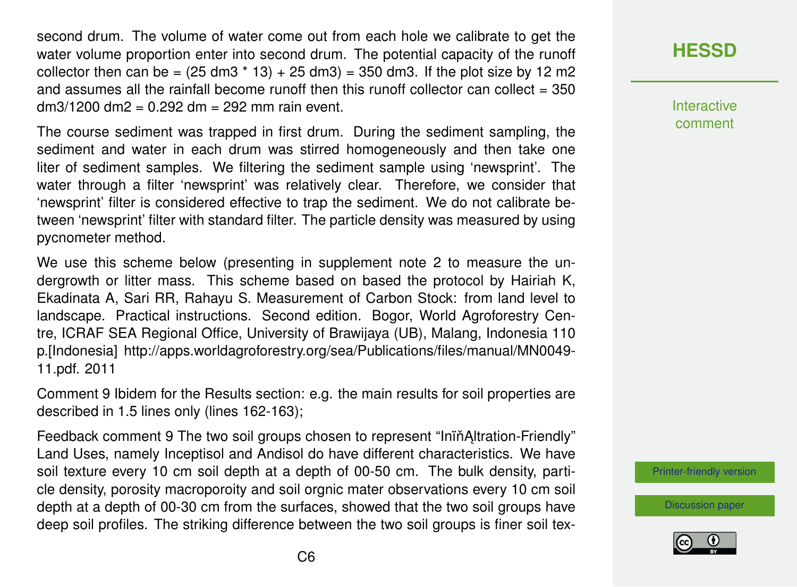second drum. The volume of water come out from each hole we calibrate to get the water volume proportion enter into second drum. The potential capacity of the runoff collector then can be =  $(25 \text{ dm}3 \times 13) + 25 \text{ dm}3) = 350 \text{ dm}3$ . If the plot size by 12 m2 and assumes all the rainfall become runoff then this runoff collector can collect  $= 350$ dm3/1200 dm2 = 0.292 dm = 292 mm rain event.

The course sediment was trapped in first drum. During the sediment sampling, the sediment and water in each drum was stirred homogeneously and then take one liter of sediment samples. We filtering the sediment sample using 'newsprint'. The water through a filter 'newsprint' was relatively clear. Therefore, we consider that 'newsprint' filter is considered effective to trap the sediment. We do not calibrate between 'newsprint' filter with standard filter. The particle density was measured by using pycnometer method.

We use this scheme below (presenting in supplement note 2 to measure the undergrowth or litter mass. This scheme based on based the protocol by Hairiah K, Ekadinata A, Sari RR, Rahayu S. Measurement of Carbon Stock: from land level to landscape. Practical instructions. Second edition. Bogor, World Agroforestry Centre, ICRAF SEA Regional Office, University of Brawijaya (UB), Malang, Indonesia 110 p.[Indonesia] http://apps.worldagroforestry.org/sea/Publications/files/manual/MN0049- 11.pdf. 2011

Comment 9 Ibidem for the Results section: e.g. the main results for soil properties are described in 1.5 lines only (lines 162-163);

Feedback comment 9 The two soil groups chosen to represent "Inin Altration-Friendly" Land Uses, namely Inceptisol and Andisol do have different characteristics. We have soil texture every 10 cm soil depth at a depth of 00-50 cm. The bulk density, particle density, porosity macroporoity and soil orgnic mater observations every 10 cm soil depth at a depth of 00-30 cm from the surfaces, showed that the two soil groups have deep soil profiles. The striking difference between the two soil groups is finer soil tex-

# **[HESSD](https://www.hydrol-earth-syst-sci-discuss.net/)**

Interactive comment

[Printer-friendly version](https://www.hydrol-earth-syst-sci-discuss.net/hess-2020-2/hess-2020-2-AC1-print.pdf)

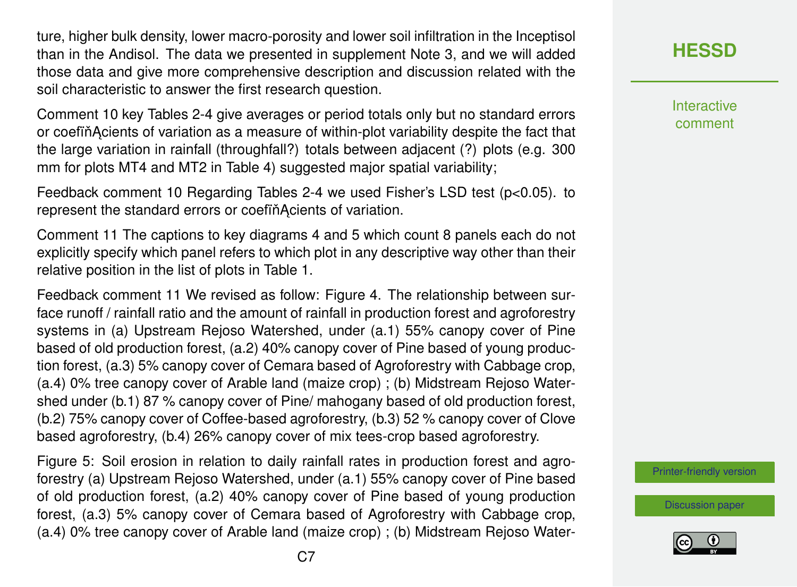ture, higher bulk density, lower macro-porosity and lower soil infiltration in the Inceptisol than in the Andisol. The data we presented in supplement Note 3, and we will added those data and give more comprehensive description and discussion related with the soil characteristic to answer the first research question.

Comment 10 key Tables 2-4 give averages or period totals only but no standard errors or coefin Acients of variation as a measure of within-plot variability despite the fact that the large variation in rainfall (throughfall?) totals between adjacent (?) plots (e.g. 300 mm for plots MT4 and MT2 in Table 4) suggested major spatial variability;

Feedback comment 10 Regarding Tables 2-4 we used Fisher's LSD test (p<0.05). to represent the standard errors or coefinAcients of variation.

Comment 11 The captions to key diagrams 4 and 5 which count 8 panels each do not explicitly specify which panel refers to which plot in any descriptive way other than their relative position in the list of plots in Table 1.

Feedback comment 11 We revised as follow: Figure 4. The relationship between surface runoff / rainfall ratio and the amount of rainfall in production forest and agroforestry systems in (a) Upstream Rejoso Watershed, under (a.1) 55% canopy cover of Pine based of old production forest, (a.2) 40% canopy cover of Pine based of young production forest, (a.3) 5% canopy cover of Cemara based of Agroforestry with Cabbage crop, (a.4) 0% tree canopy cover of Arable land (maize crop) ; (b) Midstream Rejoso Watershed under (b.1) 87 % canopy cover of Pine/ mahogany based of old production forest, (b.2) 75% canopy cover of Coffee-based agroforestry, (b.3) 52 % canopy cover of Clove based agroforestry, (b.4) 26% canopy cover of mix tees-crop based agroforestry.

Figure 5: Soil erosion in relation to daily rainfall rates in production forest and agroforestry (a) Upstream Rejoso Watershed, under (a.1) 55% canopy cover of Pine based of old production forest, (a.2) 40% canopy cover of Pine based of young production forest, (a.3) 5% canopy cover of Cemara based of Agroforestry with Cabbage crop, (a.4) 0% tree canopy cover of Arable land (maize crop) ; (b) Midstream Rejoso Water-

# **[HESSD](https://www.hydrol-earth-syst-sci-discuss.net/)**

**Interactive** comment

[Printer-friendly version](https://www.hydrol-earth-syst-sci-discuss.net/hess-2020-2/hess-2020-2-AC1-print.pdf)

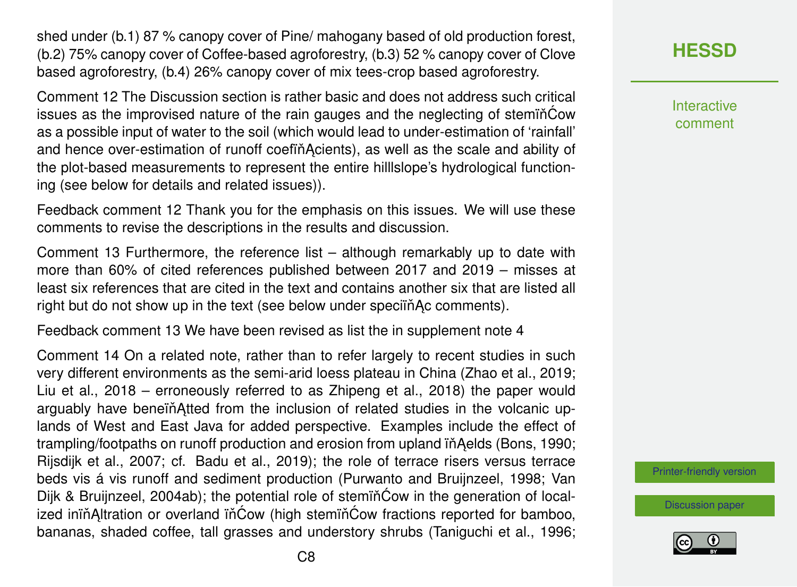shed under (b.1) 87 % canopy cover of Pine/ mahogany based of old production forest, (b.2) 75% canopy cover of Coffee-based agroforestry, (b.3) 52 % canopy cover of Clove based agroforestry, (b.4) 26% canopy cover of mix tees-crop based agroforestry.

Comment 12 The Discussion section is rather basic and does not address such critical issues as the improvised nature of the rain gauges and the neglecting of steminCow as a possible input of water to the soil (which would lead to under-estimation of 'rainfall' and hence over-estimation of runoff coefin Acients), as well as the scale and ability of the plot-based measurements to represent the entire hilllslope's hydrological functioning (see below for details and related issues)).

Feedback comment 12 Thank you for the emphasis on this issues. We will use these comments to revise the descriptions in the results and discussion.

Comment 13 Furthermore, the reference list – although remarkably up to date with more than 60% of cited references published between 2017 and 2019 – misses at least six references that are cited in the text and contains another six that are listed all right but do not show up in the text (see below under specifinal comments).

Feedback comment 13 We have been revised as list the in supplement note 4

Comment 14 On a related note, rather than to refer largely to recent studies in such very different environments as the semi-arid loess plateau in China (Zhao et al., 2019; Liu et al., 2018 – erroneously referred to as Zhipeng et al., 2018) the paper would arguably have beneïn Atted from the inclusion of related studies in the volcanic uplands of West and East Java for added perspective. Examples include the effect of trampling/footpaths on runoff production and erosion from upland in Aelds (Bons, 1990; Rijsdijk et al., 2007; cf. Badu et al., 2019); the role of terrace risers versus terrace beds vis á vis runoff and sediment production (Purwanto and Bruijnzeel, 1998; Van Dijk & Bruijnzeel, 2004ab); the potential role of stemincow in the generation of localized inin Altration or overland in Cow (high stemin Cow fractions reported for bamboo, bananas, shaded coffee, tall grasses and understory shrubs (Taniguchi et al., 1996; **[HESSD](https://www.hydrol-earth-syst-sci-discuss.net/)**

Interactive comment

[Printer-friendly version](https://www.hydrol-earth-syst-sci-discuss.net/hess-2020-2/hess-2020-2-AC1-print.pdf)

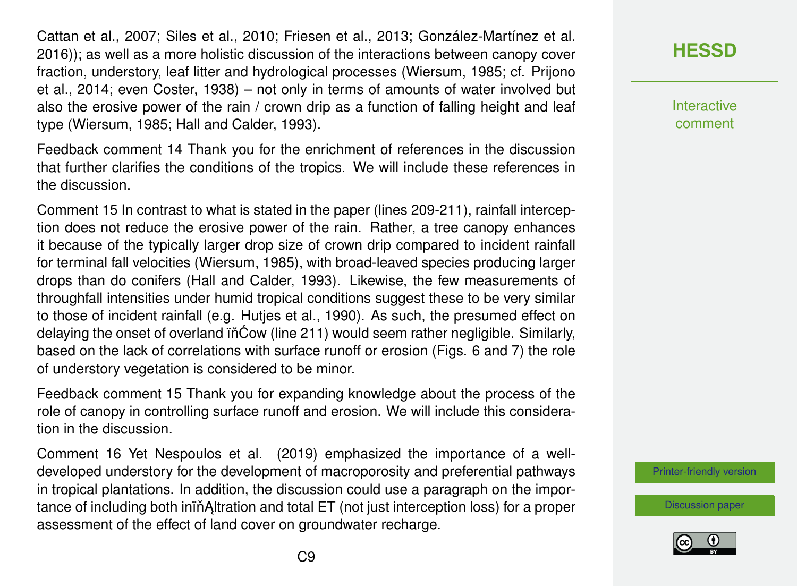Cattan et al., 2007; Siles et al., 2010; Friesen et al., 2013; González-Martínez et al. 2016)); as well as a more holistic discussion of the interactions between canopy cover fraction, understory, leaf litter and hydrological processes (Wiersum, 1985; cf. Prijono et al., 2014; even Coster, 1938) – not only in terms of amounts of water involved but also the erosive power of the rain / crown drip as a function of falling height and leaf type (Wiersum, 1985; Hall and Calder, 1993).

Feedback comment 14 Thank you for the enrichment of references in the discussion that further clarifies the conditions of the tropics. We will include these references in the discussion.

Comment 15 In contrast to what is stated in the paper (lines 209-211), rainfall interception does not reduce the erosive power of the rain. Rather, a tree canopy enhances it because of the typically larger drop size of crown drip compared to incident rainfall for terminal fall velocities (Wiersum, 1985), with broad-leaved species producing larger drops than do conifers (Hall and Calder, 1993). Likewise, the few measurements of throughfall intensities under humid tropical conditions suggest these to be very similar to those of incident rainfall (e.g. Hutjes et al., 1990). As such, the presumed effect on delaying the onset of overland  $i\hat{o}$  (line 211) would seem rather negligible. Similarly, based on the lack of correlations with surface runoff or erosion (Figs. 6 and 7) the role of understory vegetation is considered to be minor.

Feedback comment 15 Thank you for expanding knowledge about the process of the role of canopy in controlling surface runoff and erosion. We will include this consideration in the discussion.

Comment 16 Yet Nespoulos et al. (2019) emphasized the importance of a welldeveloped understory for the development of macroporosity and preferential pathways in tropical plantations. In addition, the discussion could use a paragraph on the importance of including both inin Altration and total ET (not just interception loss) for a proper assessment of the effect of land cover on groundwater recharge.

# **[HESSD](https://www.hydrol-earth-syst-sci-discuss.net/)**

**Interactive** comment

[Printer-friendly version](https://www.hydrol-earth-syst-sci-discuss.net/hess-2020-2/hess-2020-2-AC1-print.pdf)

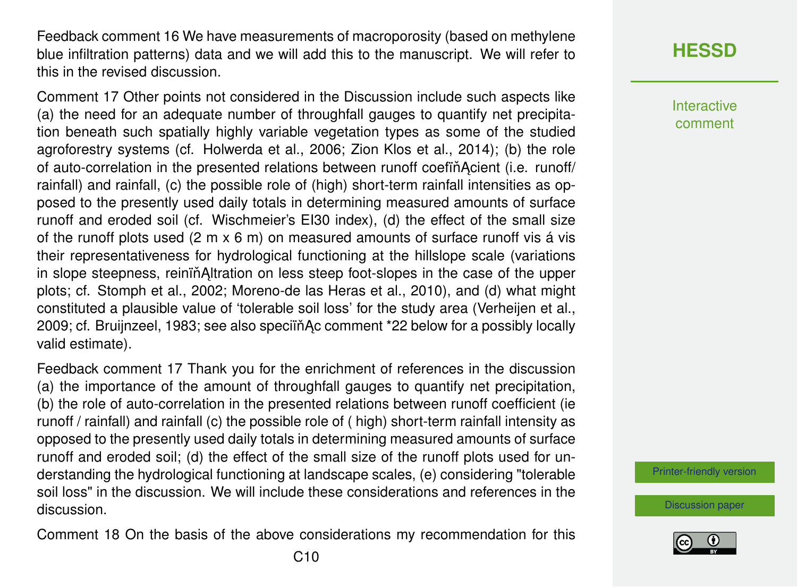Feedback comment 16 We have measurements of macroporosity (based on methylene blue infiltration patterns) data and we will add this to the manuscript. We will refer to this in the revised discussion.

Comment 17 Other points not considered in the Discussion include such aspects like (a) the need for an adequate number of throughfall gauges to quantify net precipitation beneath such spatially highly variable vegetation types as some of the studied agroforestry systems (cf. Holwerda et al., 2006; Zion Klos et al., 2014); (b) the role of auto-correlation in the presented relations between runoff coefinacient (i.e. runoff/ rainfall) and rainfall, (c) the possible role of (high) short-term rainfall intensities as opposed to the presently used daily totals in determining measured amounts of surface runoff and eroded soil (cf. Wischmeier's EI30 index), (d) the effect of the small size of the runoff plots used (2 m x 6 m) on measured amounts of surface runoff vis á vis their representativeness for hydrological functioning at the hillslope scale (variations in slope steepness, reinin Altration on less steep foot-slopes in the case of the upper plots; cf. Stomph et al., 2002; Moreno-de las Heras et al., 2010), and (d) what might constituted a plausible value of 'tolerable soil loss' for the study area (Verheijen et al., 2009; cf. Bruijnzeel, 1983; see also speciïňAc comment \*22 below for a possibly locally valid estimate).

Feedback comment 17 Thank you for the enrichment of references in the discussion (a) the importance of the amount of throughfall gauges to quantify net precipitation, (b) the role of auto-correlation in the presented relations between runoff coefficient (ie runoff / rainfall) and rainfall (c) the possible role of ( high) short-term rainfall intensity as opposed to the presently used daily totals in determining measured amounts of surface runoff and eroded soil; (d) the effect of the small size of the runoff plots used for understanding the hydrological functioning at landscape scales, (e) considering "tolerable soil loss" in the discussion. We will include these considerations and references in the discussion.

Comment 18 On the basis of the above considerations my recommendation for this

**[HESSD](https://www.hydrol-earth-syst-sci-discuss.net/)**

Interactive comment

[Printer-friendly version](https://www.hydrol-earth-syst-sci-discuss.net/hess-2020-2/hess-2020-2-AC1-print.pdf)

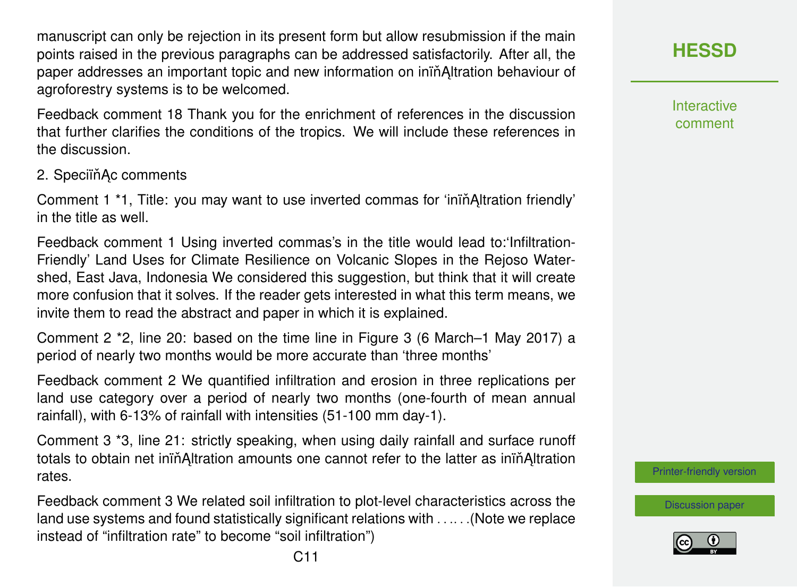manuscript can only be rejection in its present form but allow resubmission if the main points raised in the previous paragraphs can be addressed satisfactorily. After all, the paper addresses an important topic and new information on inin Altration behaviour of agroforestry systems is to be welcomed.

Feedback comment 18 Thank you for the enrichment of references in the discussion that further clarifies the conditions of the tropics. We will include these references in the discussion.

2. Speciïň Ac comments

Comment 1 <sup>\*</sup>1, Title: you may want to use inverted commas for 'inin<sup>A</sup>ltration friendly' in the title as well.

Feedback comment 1 Using inverted commas's in the title would lead to:'Infiltration-Friendly' Land Uses for Climate Resilience on Volcanic Slopes in the Rejoso Watershed, East Java, Indonesia We considered this suggestion, but think that it will create more confusion that it solves. If the reader gets interested in what this term means, we invite them to read the abstract and paper in which it is explained.

Comment 2 \*2, line 20: based on the time line in Figure 3 (6 March–1 May 2017) a period of nearly two months would be more accurate than 'three months'

Feedback comment 2 We quantified infiltration and erosion in three replications per land use category over a period of nearly two months (one-fourth of mean annual rainfall), with 6-13% of rainfall with intensities (51-100 mm day-1).

Comment 3 \*3, line 21: strictly speaking, when using daily rainfall and surface runoff totals to obtain net inin Altration amounts one cannot refer to the latter as inin Altration rates.

Feedback comment 3 We related soil infiltration to plot-level characteristics across the land use systems and found statistically significant relations with . . .. . .(Note we replace instead of "infiltration rate" to become "soil infiltration")

**[HESSD](https://www.hydrol-earth-syst-sci-discuss.net/)**

**Interactive** comment

[Printer-friendly version](https://www.hydrol-earth-syst-sci-discuss.net/hess-2020-2/hess-2020-2-AC1-print.pdf)

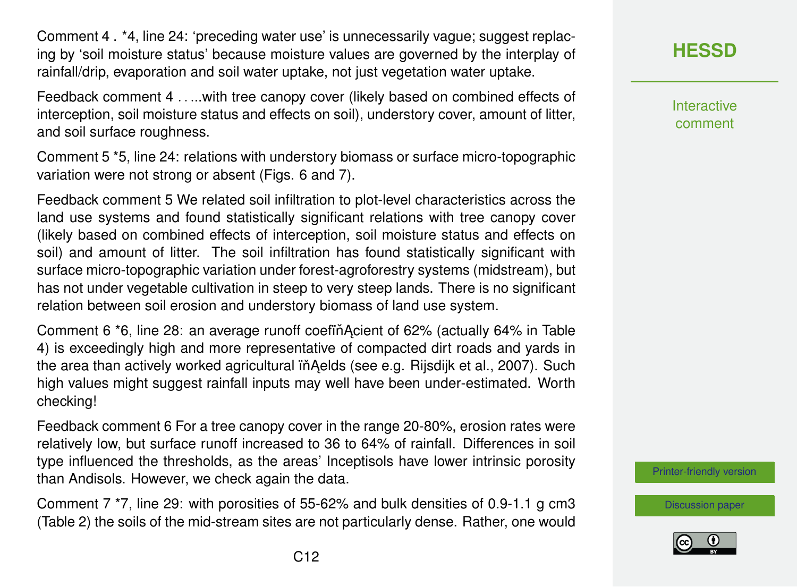Comment 4 . \*4, line 24: 'preceding water use' is unnecessarily vague; suggest replacing by 'soil moisture status' because moisture values are governed by the interplay of rainfall/drip, evaporation and soil water uptake, not just vegetation water uptake.

Feedback comment 4 . . ...with tree canopy cover (likely based on combined effects of interception, soil moisture status and effects on soil), understory cover, amount of litter, and soil surface roughness.

Comment 5 \*5, line 24: relations with understory biomass or surface micro-topographic variation were not strong or absent (Figs. 6 and 7).

Feedback comment 5 We related soil infiltration to plot-level characteristics across the land use systems and found statistically significant relations with tree canopy cover (likely based on combined effects of interception, soil moisture status and effects on soil) and amount of litter. The soil infiltration has found statistically significant with surface micro-topographic variation under forest-agroforestry systems (midstream), but has not under vegetable cultivation in steep to very steep lands. There is no significant relation between soil erosion and understory biomass of land use system.

Comment 6 \*6, line 28: an average runoff coefing Acient of 62% (actually 64% in Table 4) is exceedingly high and more representative of compacted dirt roads and yards in the area than actively worked agricultural iň Aelds (see e.g. Rijsdijk et al., 2007). Such high values might suggest rainfall inputs may well have been under-estimated. Worth checking!

Feedback comment 6 For a tree canopy cover in the range 20-80%, erosion rates were relatively low, but surface runoff increased to 36 to 64% of rainfall. Differences in soil type influenced the thresholds, as the areas' Inceptisols have lower intrinsic porosity than Andisols. However, we check again the data.

Comment 7 \*7, line 29: with porosities of 55-62% and bulk densities of 0.9-1.1 g cm3 (Table 2) the soils of the mid-stream sites are not particularly dense. Rather, one would **[HESSD](https://www.hydrol-earth-syst-sci-discuss.net/)**

Interactive comment

[Printer-friendly version](https://www.hydrol-earth-syst-sci-discuss.net/hess-2020-2/hess-2020-2-AC1-print.pdf)

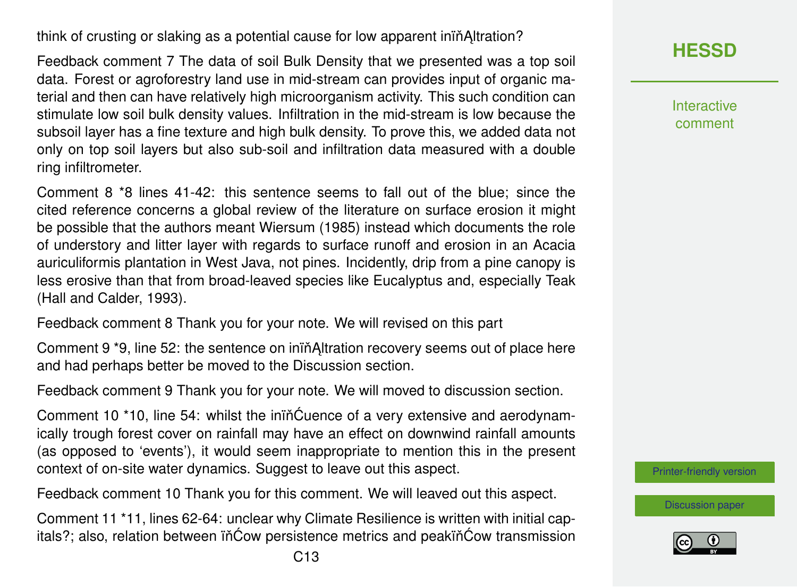think of crusting or slaking as a potential cause for low apparent ininditration?

Feedback comment 7 The data of soil Bulk Density that we presented was a top soil data. Forest or agroforestry land use in mid-stream can provides input of organic material and then can have relatively high microorganism activity. This such condition can stimulate low soil bulk density values. Infiltration in the mid-stream is low because the subsoil layer has a fine texture and high bulk density. To prove this, we added data not only on top soil layers but also sub-soil and infiltration data measured with a double ring infiltrometer.

Comment 8 \*8 lines 41-42: this sentence seems to fall out of the blue; since the cited reference concerns a global review of the literature on surface erosion it might be possible that the authors meant Wiersum (1985) instead which documents the role of understory and litter layer with regards to surface runoff and erosion in an Acacia auriculiformis plantation in West Java, not pines. Incidently, drip from a pine canopy is less erosive than that from broad-leaved species like Eucalyptus and, especially Teak (Hall and Calder, 1993).

Feedback comment 8 Thank you for your note. We will revised on this part

Comment 9 \*9, line 52: the sentence on ining Altration recovery seems out of place here and had perhaps better be moved to the Discussion section.

Feedback comment 9 Thank you for your note. We will moved to discussion section.

Comment 10 \*10, line 54: whilst the iniñĆuence of a very extensive and aerodynamically trough forest cover on rainfall may have an effect on downwind rainfall amounts (as opposed to 'events'), it would seem inappropriate to mention this in the present context of on-site water dynamics. Suggest to leave out this aspect.

Feedback comment 10 Thank you for this comment. We will leaved out this aspect.

Comment 11 \*11, lines 62-64: unclear why Climate Resilience is written with initial capitals?; also, relation between iñĆow persistence metrics and peakiñĆow transmission Interactive comment

[Printer-friendly version](https://www.hydrol-earth-syst-sci-discuss.net/hess-2020-2/hess-2020-2-AC1-print.pdf)

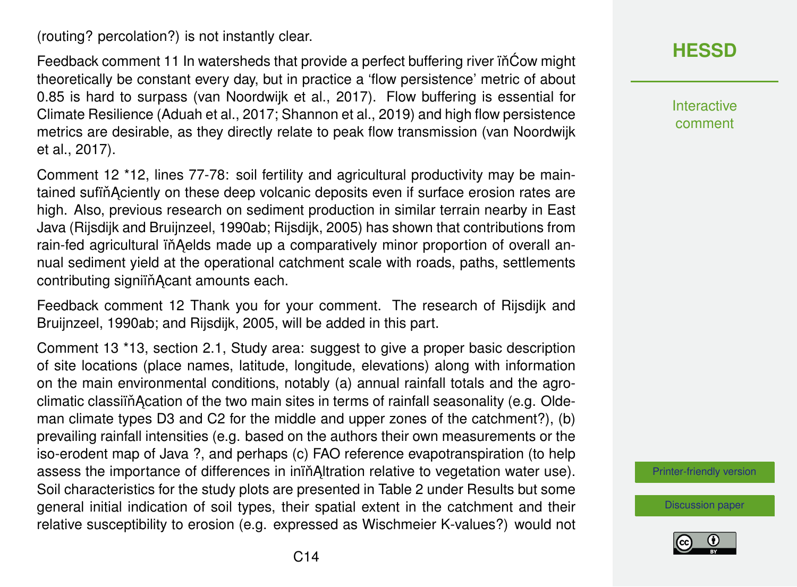(routing? percolation?) is not instantly clear.

Feedback comment 11 In watersheds that provide a perfect buffering river in Cow might theoretically be constant every day, but in practice a 'flow persistence' metric of about 0.85 is hard to surpass (van Noordwijk et al., 2017). Flow buffering is essential for Climate Resilience (Aduah et al., 2017; Shannon et al., 2019) and high flow persistence metrics are desirable, as they directly relate to peak flow transmission (van Noordwijk et al., 2017).

Comment 12 \*12, lines 77-78: soil fertility and agricultural productivity may be maintained sufin Aciently on these deep volcanic deposits even if surface erosion rates are high. Also, previous research on sediment production in similar terrain nearby in East Java (Rijsdijk and Bruijnzeel, 1990ab; Rijsdijk, 2005) has shown that contributions from rain-fed agricultural in Aelds made up a comparatively minor proportion of overall annual sediment yield at the operational catchment scale with roads, paths, settlements contributing signiin Acant amounts each.

Feedback comment 12 Thank you for your comment. The research of Rijsdijk and Bruiinzeel, 1990ab; and Rijsdijk, 2005, will be added in this part.

Comment 13 \*13, section 2.1, Study area: suggest to give a proper basic description of site locations (place names, latitude, longitude, elevations) along with information on the main environmental conditions, notably (a) annual rainfall totals and the agroclimatic classiin Acation of the two main sites in terms of rainfall seasonality (e.g. Oldeman climate types D3 and C2 for the middle and upper zones of the catchment?), (b) prevailing rainfall intensities (e.g. based on the authors their own measurements or the iso-erodent map of Java ?, and perhaps (c) FAO reference evapotranspiration (to help assess the importance of differences in inin Altration relative to vegetation water use). Soil characteristics for the study plots are presented in Table 2 under Results but some general initial indication of soil types, their spatial extent in the catchment and their relative susceptibility to erosion (e.g. expressed as Wischmeier K-values?) would not **[HESSD](https://www.hydrol-earth-syst-sci-discuss.net/)**

Interactive comment

[Printer-friendly version](https://www.hydrol-earth-syst-sci-discuss.net/hess-2020-2/hess-2020-2-AC1-print.pdf)

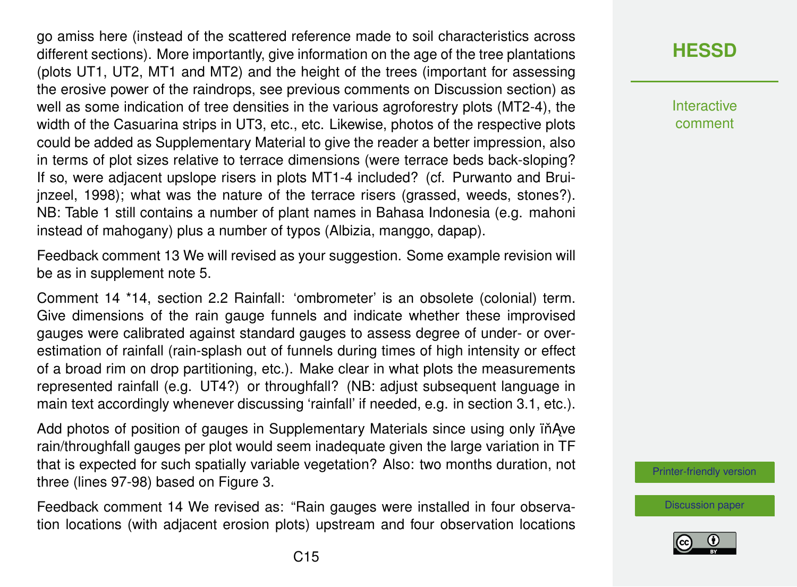go amiss here (instead of the scattered reference made to soil characteristics across different sections). More importantly, give information on the age of the tree plantations (plots UT1, UT2, MT1 and MT2) and the height of the trees (important for assessing the erosive power of the raindrops, see previous comments on Discussion section) as well as some indication of tree densities in the various agroforestry plots (MT2-4), the width of the Casuarina strips in UT3, etc., etc. Likewise, photos of the respective plots could be added as Supplementary Material to give the reader a better impression, also in terms of plot sizes relative to terrace dimensions (were terrace beds back-sloping? If so, were adjacent upslope risers in plots MT1-4 included? (cf. Purwanto and Bruijnzeel, 1998); what was the nature of the terrace risers (grassed, weeds, stones?). NB: Table 1 still contains a number of plant names in Bahasa Indonesia (e.g. mahoni instead of mahogany) plus a number of typos (Albizia, manggo, dapap).

Feedback comment 13 We will revised as your suggestion. Some example revision will be as in supplement note 5.

Comment 14 \*14, section 2.2 Rainfall: 'ombrometer' is an obsolete (colonial) term. Give dimensions of the rain gauge funnels and indicate whether these improvised gauges were calibrated against standard gauges to assess degree of under- or overestimation of rainfall (rain-splash out of funnels during times of high intensity or effect of a broad rim on drop partitioning, etc.). Make clear in what plots the measurements represented rainfall (e.g. UT4?) or throughfall? (NB: adjust subsequent language in main text accordingly whenever discussing 'rainfall' if needed, e.g. in section 3.1, etc.).

Add photos of position of gauges in Supplementary Materials since using only  $i^*$ Ave rain/throughfall gauges per plot would seem inadequate given the large variation in TF that is expected for such spatially variable vegetation? Also: two months duration, not three (lines 97-98) based on Figure 3.

Feedback comment 14 We revised as: "Rain gauges were installed in four observation locations (with adjacent erosion plots) upstream and four observation locations

# **[HESSD](https://www.hydrol-earth-syst-sci-discuss.net/)**

**Interactive** comment

[Printer-friendly version](https://www.hydrol-earth-syst-sci-discuss.net/hess-2020-2/hess-2020-2-AC1-print.pdf)

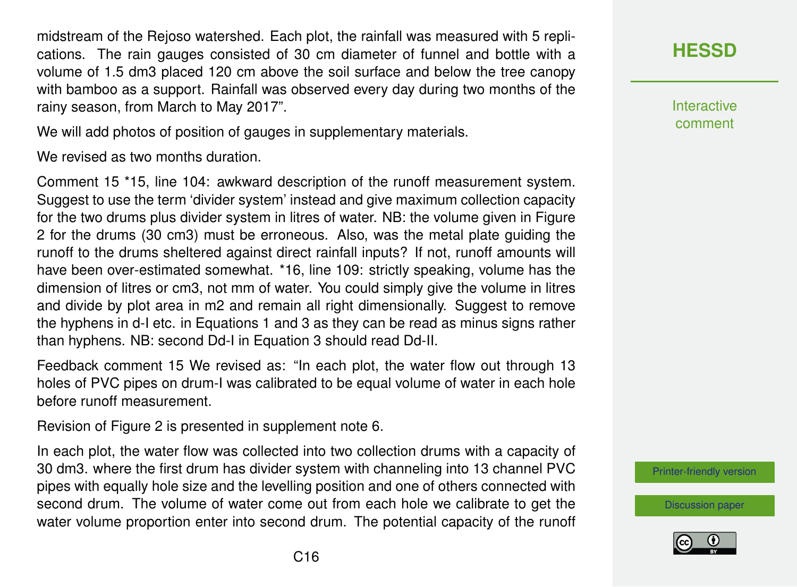midstream of the Rejoso watershed. Each plot, the rainfall was measured with 5 replications. The rain gauges consisted of 30 cm diameter of funnel and bottle with a volume of 1.5 dm3 placed 120 cm above the soil surface and below the tree canopy with bamboo as a support. Rainfall was observed every day during two months of the rainy season, from March to May 2017".

We will add photos of position of gauges in supplementary materials.

We revised as two months duration.

Comment 15 \*15, line 104: awkward description of the runoff measurement system. Suggest to use the term 'divider system' instead and give maximum collection capacity for the two drums plus divider system in litres of water. NB: the volume given in Figure 2 for the drums (30 cm3) must be erroneous. Also, was the metal plate guiding the runoff to the drums sheltered against direct rainfall inputs? If not, runoff amounts will have been over-estimated somewhat. \*16, line 109: strictly speaking, volume has the dimension of litres or cm3, not mm of water. You could simply give the volume in litres and divide by plot area in m2 and remain all right dimensionally. Suggest to remove the hyphens in d-I etc. in Equations 1 and 3 as they can be read as minus signs rather than hyphens. NB: second Dd-I in Equation 3 should read Dd-II.

Feedback comment 15 We revised as: "In each plot, the water flow out through 13 holes of PVC pipes on drum-I was calibrated to be equal volume of water in each hole before runoff measurement.

Revision of Figure 2 is presented in supplement note 6.

In each plot, the water flow was collected into two collection drums with a capacity of 30 dm3. where the first drum has divider system with channeling into 13 channel PVC pipes with equally hole size and the levelling position and one of others connected with second drum. The volume of water come out from each hole we calibrate to get the water volume proportion enter into second drum. The potential capacity of the runoff



**Interactive** comment

[Printer-friendly version](https://www.hydrol-earth-syst-sci-discuss.net/hess-2020-2/hess-2020-2-AC1-print.pdf)

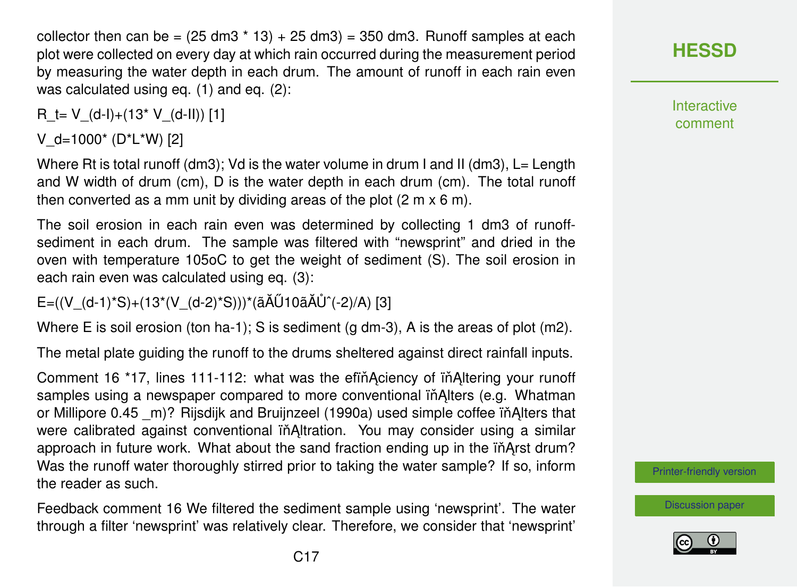collector then can be =  $(25 \text{ dm}3 \times 13) + 25 \text{ dm}3 = 350 \text{ dm}3$ . Runoff samples at each plot were collected on every day at which rain occurred during the measurement period by measuring the water depth in each drum. The amount of runoff in each rain even was calculated using eq. (1) and eq. (2):

R  $t= V_0(d-l)+(13* V_0(d-1))$  [1]

V  $d=1000^*$  (D<sup>\*</sup>L<sup>\*</sup>W) [2]

Where Rt is total runoff (dm3); Vd is the water volume in drum I and II (dm3), L= Length and W width of drum (cm), D is the water depth in each drum (cm). The total runoff then converted as a mm unit by dividing areas of the plot (2 m x 6 m).

The soil erosion in each rain even was determined by collecting 1 dm3 of runoffsediment in each drum. The sample was filtered with "newsprint" and dried in the oven with temperature 105oC to get the weight of sediment (S). The soil erosion in each rain even was calculated using eq. (3):

 $E=((V_{(d-1)}^*S)+(13^*(V_{(d-2)}^*S)))^*(\tilde{a}A\tilde{U}10\tilde{a}A\tilde{U}^(-2)/A)$  [3]

Where E is soil erosion (ton ha-1); S is sediment (g dm-3), A is the areas of plot  $(m2)$ .

The metal plate guiding the runoff to the drums sheltered against direct rainfall inputs.

Comment 16 <sup>\*</sup>17, lines 111-112: what was the efin Aciency of in Altering your runoff samples using a newspaper compared to more conventional in Alters (e.g. Whatman or Millipore 0.45 m)? Rijsdijk and Bruijnzeel (1990a) used simple coffee in Alters that were calibrated against conventional in Altration. You may consider using a similar approach in future work. What about the sand fraction ending up in the inArst drum? Was the runoff water thoroughly stirred prior to taking the water sample? If so, inform the reader as such.

Feedback comment 16 We filtered the sediment sample using 'newsprint'. The water through a filter 'newsprint' was relatively clear. Therefore, we consider that 'newsprint'

**[HESSD](https://www.hydrol-earth-syst-sci-discuss.net/)**

**Interactive** comment

[Printer-friendly version](https://www.hydrol-earth-syst-sci-discuss.net/hess-2020-2/hess-2020-2-AC1-print.pdf)

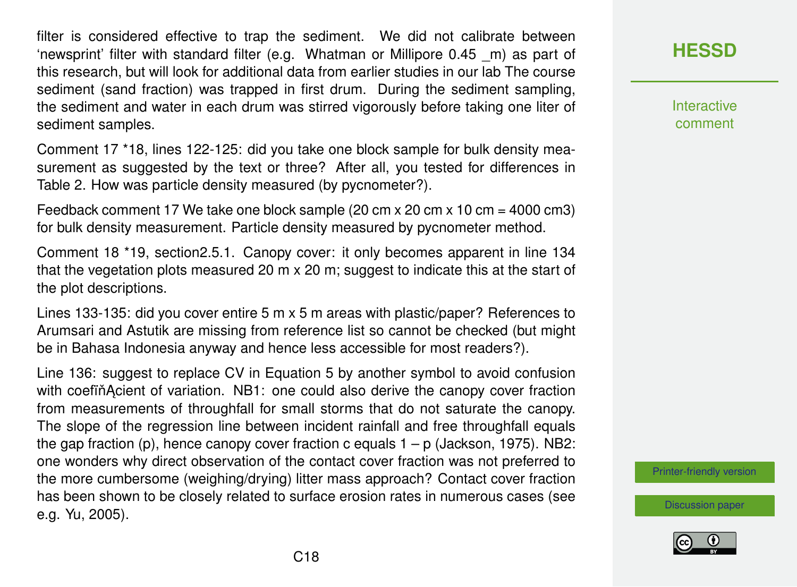filter is considered effective to trap the sediment. We did not calibrate between 'newsprint' filter with standard filter (e.g. Whatman or Millipore 0.45 \_m) as part of this research, but will look for additional data from earlier studies in our lab The course sediment (sand fraction) was trapped in first drum. During the sediment sampling, the sediment and water in each drum was stirred vigorously before taking one liter of sediment samples.

Comment 17 \*18, lines 122-125: did you take one block sample for bulk density measurement as suggested by the text or three? After all, you tested for differences in Table 2. How was particle density measured (by pycnometer?).

Feedback comment 17 We take one block sample (20 cm x 20 cm x 10 cm = 4000 cm3) for bulk density measurement. Particle density measured by pycnometer method.

Comment 18 \*19, section2.5.1. Canopy cover: it only becomes apparent in line 134 that the vegetation plots measured 20 m x 20 m; suggest to indicate this at the start of the plot descriptions.

Lines 133-135: did you cover entire 5 m x 5 m areas with plastic/paper? References to Arumsari and Astutik are missing from reference list so cannot be checked (but might be in Bahasa Indonesia anyway and hence less accessible for most readers?).

Line 136: suggest to replace CV in Equation 5 by another symbol to avoid confusion with coefin Acient of variation. NB1: one could also derive the canopy cover fraction from measurements of throughfall for small storms that do not saturate the canopy. The slope of the regression line between incident rainfall and free throughfall equals the gap fraction (p), hence canopy cover fraction c equals  $1 - p$  (Jackson, 1975). NB2: one wonders why direct observation of the contact cover fraction was not preferred to the more cumbersome (weighing/drying) litter mass approach? Contact cover fraction has been shown to be closely related to surface erosion rates in numerous cases (see e.g. Yu, 2005).

**[HESSD](https://www.hydrol-earth-syst-sci-discuss.net/)**

**Interactive** comment

[Printer-friendly version](https://www.hydrol-earth-syst-sci-discuss.net/hess-2020-2/hess-2020-2-AC1-print.pdf)

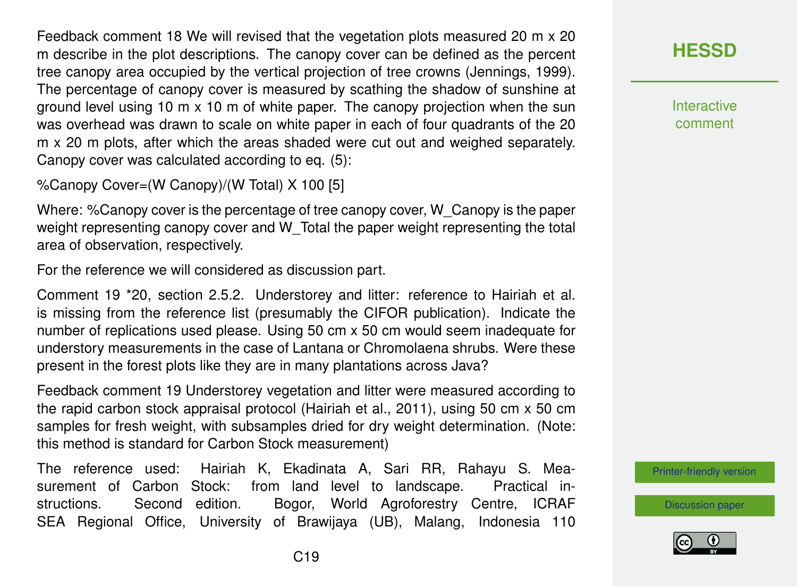Feedback comment 18 We will revised that the vegetation plots measured 20 m x 20 m describe in the plot descriptions. The canopy cover can be defined as the percent tree canopy area occupied by the vertical projection of tree crowns (Jennings, 1999). The percentage of canopy cover is measured by scathing the shadow of sunshine at ground level using 10  $m \times 10$  m of white paper. The canopy projection when the sun was overhead was drawn to scale on white paper in each of four quadrants of the 20 m x 20 m plots, after which the areas shaded were cut out and weighed separately. Canopy cover was calculated according to eq. (5):

%Canopy Cover=(W Canopy)/(W Total) X 100 [5]

Where: %Canopy cover is the percentage of tree canopy cover, W\_Canopy is the paper weight representing canopy cover and W\_Total the paper weight representing the total area of observation, respectively.

For the reference we will considered as discussion part.

Comment 19 \*20, section 2.5.2. Understorey and litter: reference to Hairiah et al. is missing from the reference list (presumably the CIFOR publication). Indicate the number of replications used please. Using 50 cm x 50 cm would seem inadequate for understory measurements in the case of Lantana or Chromolaena shrubs. Were these present in the forest plots like they are in many plantations across Java?

Feedback comment 19 Understorey vegetation and litter were measured according to the rapid carbon stock appraisal protocol (Hairiah et al., 2011), using 50 cm x 50 cm samples for fresh weight, with subsamples dried for dry weight determination. (Note: this method is standard for Carbon Stock measurement)

The reference used: Hairiah K, Ekadinata A, Sari RR, Rahayu S. Measurement of Carbon Stock: from land level to landscape. Practical instructions. Second edition. Bogor, World Agroforestry Centre, ICRAF SEA Regional Office, University of Brawijaya (UB), Malang, Indonesia 110



**Interactive** comment

[Printer-friendly version](https://www.hydrol-earth-syst-sci-discuss.net/hess-2020-2/hess-2020-2-AC1-print.pdf)

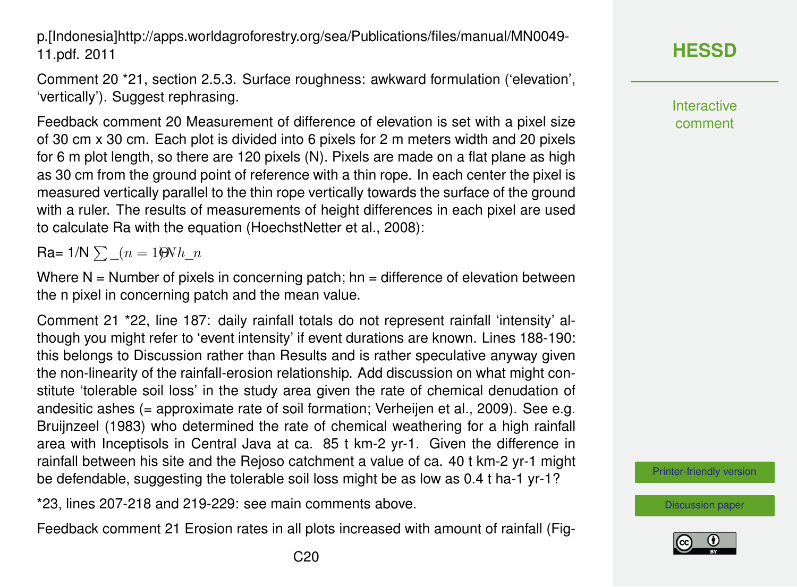p.[Indonesia]http://apps.worldagroforestry.org/sea/Publications/files/manual/MN0049- 11.pdf. 2011

Comment 20 \*21, section 2.5.3. Surface roughness: awkward formulation ('elevation', 'vertically'). Suggest rephrasing.

Feedback comment 20 Measurement of difference of elevation is set with a pixel size of 30 cm x 30 cm. Each plot is divided into 6 pixels for 2 m meters width and 20 pixels for 6 m plot length, so there are 120 pixels (N). Pixels are made on a flat plane as high as 30 cm from the ground point of reference with a thin rope. In each center the pixel is measured vertically parallel to the thin rope vertically towards the surface of the ground with a ruler. The results of measurements of height differences in each pixel are used to calculate Ra with the equation (HoechstNetter et al., 2008):

Ra=  $1/N \sum (n = 1)QNh$  n

Where  $N =$  Number of pixels in concerning patch; hn = difference of elevation between the n pixel in concerning patch and the mean value.

Comment 21 \*22, line 187: daily rainfall totals do not represent rainfall 'intensity' although you might refer to 'event intensity' if event durations are known. Lines 188-190: this belongs to Discussion rather than Results and is rather speculative anyway given the non-linearity of the rainfall-erosion relationship. Add discussion on what might constitute 'tolerable soil loss' in the study area given the rate of chemical denudation of andesitic ashes (= approximate rate of soil formation; Verheijen et al., 2009). See e.g. Bruijnzeel (1983) who determined the rate of chemical weathering for a high rainfall area with Inceptisols in Central Java at ca. 85 t km-2 yr-1. Given the difference in rainfall between his site and the Rejoso catchment a value of ca. 40 t km-2 yr-1 might be defendable, suggesting the tolerable soil loss might be as low as 0.4 t ha-1 yr-1?

\*23, lines 207-218 and 219-229: see main comments above.

Feedback comment 21 Erosion rates in all plots increased with amount of rainfall (Fig-

**Interactive** comment

[Printer-friendly version](https://www.hydrol-earth-syst-sci-discuss.net/hess-2020-2/hess-2020-2-AC1-print.pdf)

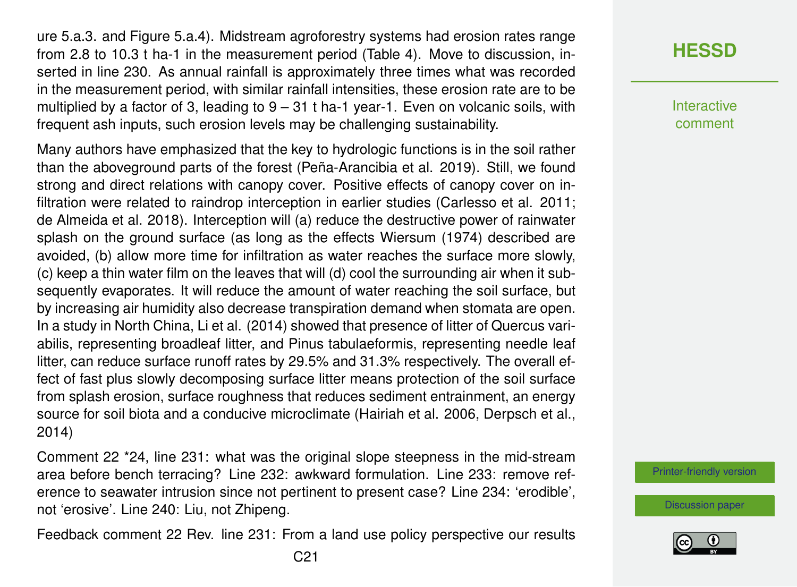ure 5.a.3. and Figure 5.a.4). Midstream agroforestry systems had erosion rates range from 2.8 to 10.3 t ha-1 in the measurement period (Table 4). Move to discussion, inserted in line 230. As annual rainfall is approximately three times what was recorded in the measurement period, with similar rainfall intensities, these erosion rate are to be multiplied by a factor of 3, leading to  $9 - 31$  t ha-1 year-1. Even on volcanic soils, with frequent ash inputs, such erosion levels may be challenging sustainability.

Many authors have emphasized that the key to hydrologic functions is in the soil rather than the aboveground parts of the forest (Peña-Arancibia et al. 2019). Still, we found strong and direct relations with canopy cover. Positive effects of canopy cover on infiltration were related to raindrop interception in earlier studies (Carlesso et al. 2011; de Almeida et al. 2018). Interception will (a) reduce the destructive power of rainwater splash on the ground surface (as long as the effects Wiersum (1974) described are avoided, (b) allow more time for infiltration as water reaches the surface more slowly, (c) keep a thin water film on the leaves that will (d) cool the surrounding air when it subsequently evaporates. It will reduce the amount of water reaching the soil surface, but by increasing air humidity also decrease transpiration demand when stomata are open. In a study in North China, Li et al. (2014) showed that presence of litter of Quercus variabilis, representing broadleaf litter, and Pinus tabulaeformis, representing needle leaf litter, can reduce surface runoff rates by 29.5% and 31.3% respectively. The overall effect of fast plus slowly decomposing surface litter means protection of the soil surface from splash erosion, surface roughness that reduces sediment entrainment, an energy source for soil biota and a conducive microclimate (Hairiah et al. 2006, Derpsch et al., 2014)

Comment 22 \*24, line 231: what was the original slope steepness in the mid-stream area before bench terracing? Line 232: awkward formulation. Line 233: remove reference to seawater intrusion since not pertinent to present case? Line 234: 'erodible', not 'erosive'. Line 240: Liu, not Zhipeng.

Feedback comment 22 Rev. line 231: From a land use policy perspective our results

**Interactive** comment

[Printer-friendly version](https://www.hydrol-earth-syst-sci-discuss.net/hess-2020-2/hess-2020-2-AC1-print.pdf)

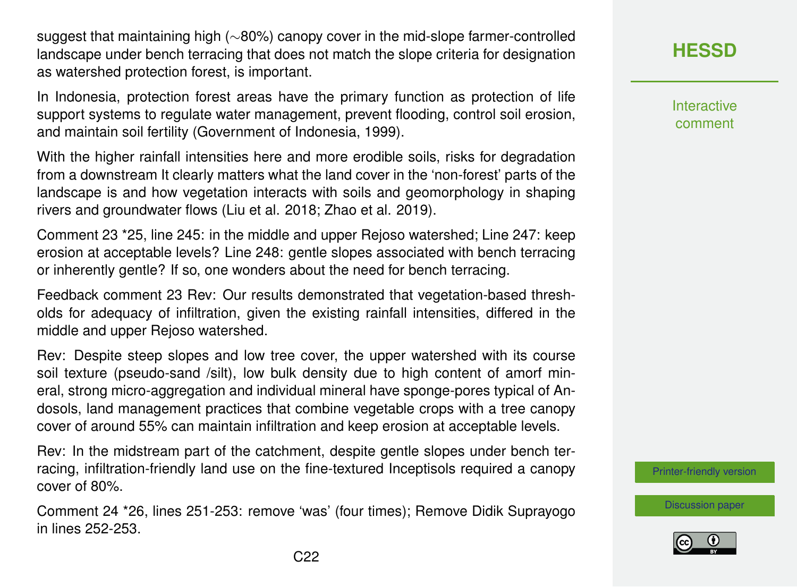suggest that maintaining high (∼80%) canopy cover in the mid-slope farmer-controlled landscape under bench terracing that does not match the slope criteria for designation as watershed protection forest, is important.

In Indonesia, protection forest areas have the primary function as protection of life support systems to regulate water management, prevent flooding, control soil erosion, and maintain soil fertility (Government of Indonesia, 1999).

With the higher rainfall intensities here and more erodible soils, risks for degradation from a downstream It clearly matters what the land cover in the 'non-forest' parts of the landscape is and how vegetation interacts with soils and geomorphology in shaping rivers and groundwater flows (Liu et al. 2018; Zhao et al. 2019).

Comment 23 \*25, line 245: in the middle and upper Rejoso watershed; Line 247: keep erosion at acceptable levels? Line 248: gentle slopes associated with bench terracing or inherently gentle? If so, one wonders about the need for bench terracing.

Feedback comment 23 Rev: Our results demonstrated that vegetation-based thresholds for adequacy of infiltration, given the existing rainfall intensities, differed in the middle and upper Rejoso watershed.

Rev: Despite steep slopes and low tree cover, the upper watershed with its course soil texture (pseudo-sand /silt), low bulk density due to high content of amorf mineral, strong micro-aggregation and individual mineral have sponge-pores typical of Andosols, land management practices that combine vegetable crops with a tree canopy cover of around 55% can maintain infiltration and keep erosion at acceptable levels.

Rev: In the midstream part of the catchment, despite gentle slopes under bench terracing, infiltration-friendly land use on the fine-textured Inceptisols required a canopy cover of 80%.

Comment 24 \*26, lines 251-253: remove 'was' (four times); Remove Didik Suprayogo in lines 252-253.

**Interactive** comment

[Printer-friendly version](https://www.hydrol-earth-syst-sci-discuss.net/hess-2020-2/hess-2020-2-AC1-print.pdf)